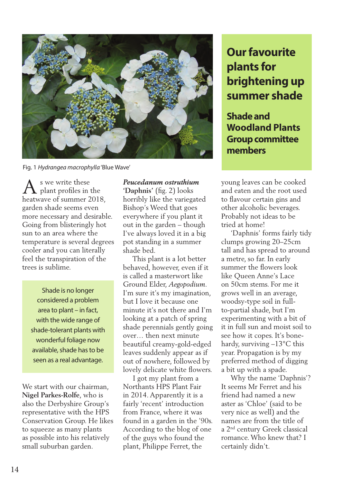

Fig. 1 *Hydrangea macrophylla* 'Blue Wave'

s we write these plant profiles in the  $\bigwedge^{\mathsf{s}}$  we write these<br>heatwave of summer 2018, garden shade seems even more necessary and desirable. Going from blisteringly hot sun to an area where the temperature is several degrees cooler and you can literally feel the transpiration of the trees is sublime.

Shade is no longer considered a problem area to plant – in fact, with the wide range of shade-tolerant plants with wonderful foliage now available, shade has to be seen as a real advantage.

We start with our chairman, **Nigel Parkes-Rolfe**, who is also the Derbyshire Group's representative with the HPS Conservation Group. He likes to squeeze as many plants as possible into his relatively small suburban garden.

*Peucedanum ostruthium*  **'Daphnis'** (fig. 2) looks horribly like the variegated Bishop's Weed that goes everywhere if you plant it out in the garden – though I've always loved it in a big pot standing in a summer shade bed.

 This plant is a lot better behaved, however, even if it is called a masterwort like Ground Elder, *Aegopodium*. I'm sure it's my imagination, but I love it because one minute it's not there and I'm looking at a patch of spring shade perennials gently going over… then next minute beautiful creamy-gold-edged leaves suddenly appear as if out of nowhere, followed by lovely delicate white flowers.

 I got my plant from a Northants HPS Plant Fair in 2014. Apparently it is a fairly 'recent' introduction from France, where it was found in a garden in the '90s. According to the blog of one of the guys who found the plant, Philippe Ferret, the

## **Our favourite plants for brightening up summer shade**

**Shade and Woodland Plants Group committee members**

young leaves can be cooked and eaten and the root used to flavour certain gins and other alcoholic beverages. Probably not ideas to be tried at home!

 'Daphnis' forms fairly tidy clumps growing 20–25cm tall and has spread to around a metre, so far. In early summer the flowers look like Queen Anne's Lace on 50cm stems. For me it grows well in an average, woodsy-type soil in fullto-partial shade, but I'm experimenting with a bit of it in full sun and moist soil to see how it copes. It's bonehardy, surviving –13°C this year. Propagation is by my preferred method of digging a bit up with a spade.

 Why the name 'Daphnis'? It seems Mr Ferret and his friend had named a new aster as 'Chloe' (said to be very nice as well) and the names are from the title of a 2nd century Greek classical romance. Who knew that? I certainly didn't.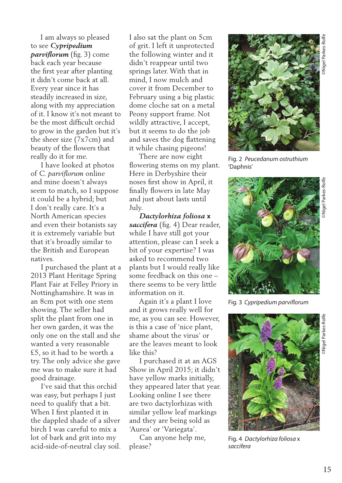I am always so pleased to see *Cypripedium parviflorum* (fig. 3) come back each year because the first year after planting it didn't come back at all. Every year since it has steadily increased in size, along with my appreciation of it. I know it's not meant to be the most difficult orchid to grow in the garden but it's the sheer size (7x7cm) and beauty of the flowers that really do it for me.

 I have looked at photos of *C. parviflorum* online and mine doesn't always seem to match, so I suppose it could be a hybrid; but I don't really care. It's a North American species and even their botanists say it is extremely variable but that it's broadly similar to the British and European natives.

 I purchased the plant at a 2013 Plant Heritage Spring Plant Fair at Felley Priory in Nottinghamshire. It was in an 8cm pot with one stem showing. The seller had split the plant from one in her own garden, it was the only one on the stall and she wanted a very reasonable £5, so it had to be worth a try. The only advice she gave me was to make sure it had good drainage.

 I've said that this orchid was easy, but perhaps I just need to qualify that a bit. When I first planted it in the dappled shade of a silver birch I was careful to mix a lot of bark and grit into my acid-side-of-neutral clay soil. I also sat the plant on 5cm of grit. I left it unprotected the following winter and it didn't reappear until two springs later. With that in mind, I now mulch and cover it from December to February using a big plastic dome cloche sat on a metal Peony support frame. Not wildly attractive, I accept, but it seems to do the job and saves the dog flattening it while chasing pigeons!

 There are now eight flowering stems on my plant. Here in Derbyshire their noses first show in April, it finally flowers in late May and just about lasts until July.

 *Dactylorhiza foliosa* **x** *saccifera* (fig. 4) Dear reader, while I have still got your attention, please can I seek a bit of your expertise? I was asked to recommend two plants but I would really like some feedback on this one – there seems to be very little information on it.

 Again it's a plant I love and it grows really well for me, as you can see. However, is this a case of 'nice plant, shame about the virus' or are the leaves meant to look like this?

 I purchased it at an AGS Show in April 2015; it didn't have yellow marks initially, they appeared later that year. Looking online I see there are two dactylorhizas with similar yellow leaf markings and they are being sold as 'Aurea' or 'Variegata'.

 Can anyone help me, please?



Fig. 2 *Peucedanum ostruthium*  'Daphnis'



Fig. 3 *Cypripedium parviflorum* 



Fig. 4 *Dactylorhiza foliosa* x *saccifera*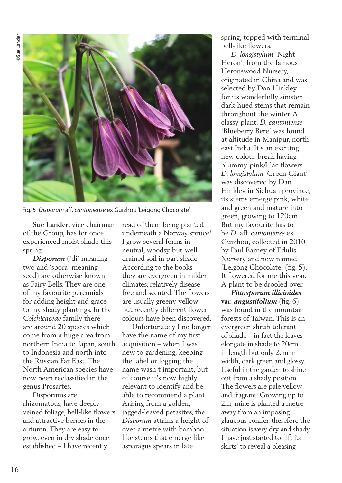

Fig. 5 *Disporum* aff. *cantoniense* ex Guizhou 'Leigong Chocolate'

 **Sue Lander**, vice chairman of the Group, has for once experienced moist shade this spring.

 *Disporum* ('di' meaning two and 'spora' meaning seed) are otherwise known as Fairy Bells. They are one of my favourite perennials for adding height and grace to my shady plantings. In the *Colchicaceae* family there are around 20 species which come from a huge area from northern India to Japan, south to Indonesia and north into the Russian Far East. The North American species have now been reclassified in the genus Prosartes.

 Disporums are rhizomatous, have deeply veined foliage, bell-like flowers and attractive berries in the autumn. They are easy to grow, even in dry shade once established – I have recently

read of them being planted underneath a Norway spruce! I grow several forms in neutral, woodsy-but-welldrained soil in part shade. According to the books they are evergreen in milder climates, relatively disease free and scented. The flowers are usually greeny-yellow but recently different flower colours have been discovered.

 Unfortunately I no longer have the name of my first acquisition – when I was new to gardening, keeping the label or logging the name wasn't important, but of course it's now highly relevant to identify and be able to recommend a plant. Arising from a golden, jagged-leaved petasites, the *Disporum* attains a height of over a metre with bamboolike stems that emerge like asparagus spears in late

spring, topped with terminal bell-like flowers.

 *D. longistylum* 'Night Heron', from the famous Heronswood Nursery, originated in China and was selected by Dan Hinkley for its wonderfully sinister dark-hued stems that remain throughout the winter. A classy plant. *D. cantoniense* 'Blueberry Bere' was found at altitude in Manipur, northeast India. It's an exciting new colour break having plummy-pink/lilac flowers. *D. longistylum* 'Green Giant' was discovered by Dan Hinkley in Sichuan province; its stems emerge pink, white and green and mature into green, growing to 120cm. But my favourite has to be *D*. aff. *cantoniense* ex Guizhou, collected in 2010 by Paul Barney of Edulis Nursery and now named 'Leigong Chocolate' (fig. 5). It flowered for me this year. A plant to be drooled over.

 *Pittosporum illicioides* **var.** *angustifolium* (fig. 6) was found in the mountain forests of Taiwan. This is an evergreen shrub tolerant of shade – in fact the leaves elongate in shade to 20cm in length but only 2cm in width, dark green and glossy. Useful in the garden to shine out from a shady position. The flowers are pale yellow and fragrant. Growing up to 2m, mine is planted a metre away from an imposing glaucous conifer, therefore the situation is very dry and shady. I have just started to 'lift its skirts' to reveal a pleasing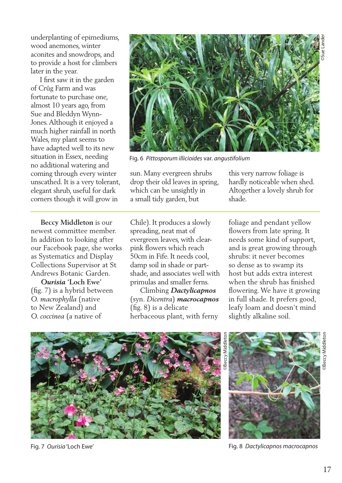underplanting of epimediums, wood anemones, winter aconites and snowdrops, and to provide a host for climbers later in the year.

 I first saw it in the garden of Crûg Farm and was fortunate to purchase one, almost 10 years ago, from Sue and Bleddyn Wynn-Jones. Although it enjoyed a much higher rainfall in north Wales, my plant seems to have adapted well to its new situation in Essex, needing no additional watering and coming through every winter unscathed. It is a very tolerant, elegant shrub, useful for dark corners though it will grow in

 **Beccy Middleton** is our newest committee member. In addition to looking after our Facebook page, she works as Systematics and Display Collections Supervisor at St Andrews Botanic Garden.

 *Ourisia* **'Loch Ewe'**  (fig. 7) is a hybrid between *O. macrophylla* (native to New Zealand) and *O. coccinea* (a native of



Fig. 6 *Pittosporum illicioides* var. *angustifolium* 

sun. Many evergreen shrubs drop their old leaves in spring, which can be unsightly in a small tidy garden, but

this very narrow foliage is hardly noticeable when shed. Altogether a lovely shrub for shade.

Chile). It produces a slowly spreading, neat mat of evergreen leaves, with clearpink flowers which reach 50cm in Fife. It needs cool, damp soil in shade or partshade, and associates well with primulas and smaller ferns.

 Climbing *Dactylicapnos*  (syn. *Dicentra*) *macrocapnos*  (fig. 8) is a delicate herbaceous plant, with ferny

foliage and pendant yellow flowers from late spring. It needs some kind of support, and is great growing through shrubs: it never becomes so dense as to swamp its host but adds extra interest when the shrub has finished flowering. We have it growing in full shade. It prefers good, leafy loam and doesn't mind slightly alkaline soil.



Fig. 7 *Ourisia* 'Loch Ewe'



Fig. 8 *Dactylicapnos macrocapnos*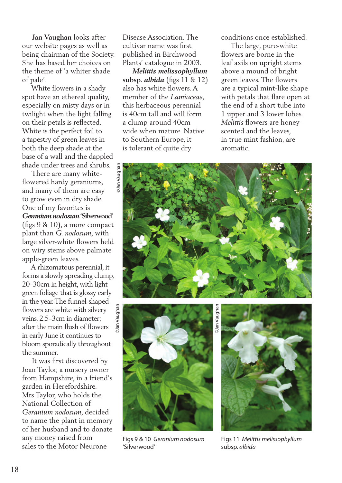**Jan Vaughan** looks after our website pages as well as being chairman of the Society. She has based her choices on the theme of 'a whiter shade of pale'.

 White flowers in a shady spot have an ethereal quality, especially on misty days or in twilight when the light falling on their petals is reflected. White is the perfect foil to a tapestry of green leaves in both the deep shade at the base of a wall and the dappled shade under trees and shrubs.

 There are many whiteflowered hardy geraniums, and many of them are easy to grow even in dry shade. One of my favorites is *Geranium nodosum* **'Silverwood'**  (figs 9 & 10), a more compact plant than *G. nodosum*, with large silver-white flowers held on wiry stems above palmate apple-green leaves.

 A rhizomatous perennial, it forms a slowly spreading clump, 20–30cm in height, with light green foliage that is glossy early in the year. The funnel-shaped blan Vaughan flowers are white with silvery veins, 2.5–3cm in diameter; after the main flush of flowers in early June it continues to bloom sporadically throughout the summer.

 It was first discovered by Joan Taylor, a nursery owner from Hampshire, in a friend's garden in Herefordshire. Mrs Taylor, who holds the National Collection of *Geranium nodosum*, decided to name the plant in memory of her husband and to donate any money raised from sales to the Motor Neurone

Disease Association. The cultivar name was first published in Birchwood Plants' catalogue in 2003.

 *Melittis melissophyllum*  **subsp.** *albida* (figs 11 & 12) also has white flowers. A member of the *Lamiaceae*, this herbaceous perennial is 40cm tall and will form a clump around 40cm wide when mature. Native to Southern Europe, it is tolerant of quite dry

conditions once established.

 The large, pure-white flowers are borne in the leaf axils on upright stems above a mound of bright green leaves. The flowers are a typical mint-like shape with petals that flare open at the end of a short tube into 1 upper and 3 lower lobes. *Melittis* flowers are honeyscented and the leaves, in true mint fashion, are aromatic.





Figs 9 & 10 *Geranium nodosum*  'Silverwood'

©Jan Vaughan Dan Vaughar



Figs 11 *Melittis melissophyllum*  subsp. *albida*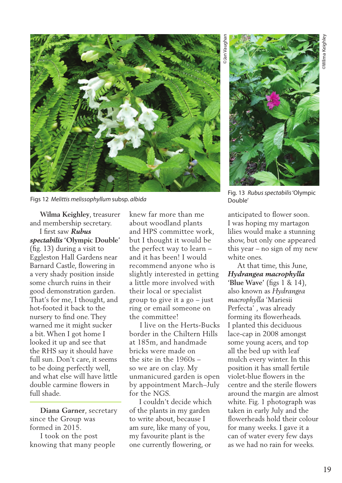

Figs 12 *Melittis melissophyllum* subsp. *albida* 

 **Wilma Keighley**, treasurer and membership secretary.

 I first saw *Rubus spectabilis* **'Olympic Double'**  (fig. 13) during a visit to Eggleston Hall Gardens near Barnard Castle, flowering in a very shady position inside some church ruins in their good demonstration garden. That's for me, I thought, and hot-footed it back to the nursery to find one. They warned me it might sucker a bit. When I got home I looked it up and see that the RHS say it should have full sun. Don't care, it seems to be doing perfectly well, and what else will have little double carmine flowers in full shade.

 **Diana Garner**, secretary since the Group was formed in 2015.

 I took on the post knowing that many people

knew far more than me about woodland plants and HPS committee work, but I thought it would be the perfect way to learn – and it has been! I would recommend anyone who is slightly interested in getting a little more involved with their local or specialist group to give it a  $go - just$ ring or email someone on the committee!

 I live on the Herts-Bucks border in the Chiltern Hills at 185m, and handmade bricks were made on the site in the 1960s – so we are on clay. My unmanicured garden is open by appointment March–July for the NGS.

 I couldn't decide which of the plants in my garden to write about, because I am sure, like many of you, my favourite plant is the one currently flowering, or

©Jan Vaughan **Jan Vaugh** 



Fig. 13 *Rubus spectabilis* 'Olympic Double'

anticipated to flower soon. I was hoping my martagon lilies would make a stunning show, but only one appeared this year – no sign of my new white ones.

 At that time, this June, *Hydrangea macrophylla*  **'Blue Wave'** (figs 1 & 14), also known as *Hydrangea macrophylla* 'Mariesii Perfecta' , was already forming its flowerheads. I planted this deciduous lace-cap in 2008 amongst some young acers, and top all the bed up with leaf mulch every winter. In this position it has small fertile violet-blue flowers in the centre and the sterile flowers around the margin are almost white. Fig. 1 photograph was taken in early July and the flowerheads hold their colour for many weeks. I gave it a can of water every few days as we had no rain for weeks.